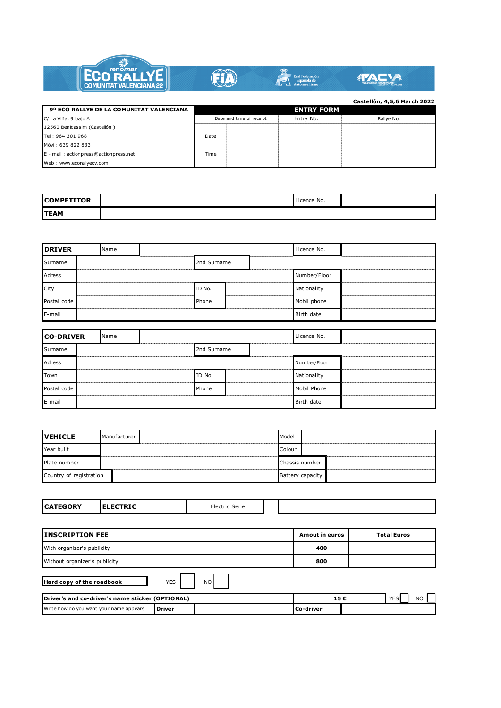

| 9º ECO RALLYE DE LA COMUNITAT VALENCIANA |      |                          | <b>ENTRY FORM</b> | ----------, -,-, - .--- --- |
|------------------------------------------|------|--------------------------|-------------------|-----------------------------|
| C/ La Viña, 9 bajo A                     |      | Date and time of receipt | Entry No.         | Rallve No.                  |
| 12560 Benicassim (Castellón)             |      |                          |                   |                             |
| Tel: 964 301 968                         | Date |                          |                   |                             |
| Móvi: 639 822 833                        |      |                          |                   |                             |
| E - mail: actionpress@actionpress.net    | Time |                          |                   |                             |
| Web: www.ecorallyecv.com                 |      |                          |                   |                             |

| <b>COMPETITOR</b> | Licence No. |  |
|-------------------|-------------|--|
| <b>TEAM</b>       |             |  |

| <b>DRIVER</b> |  | Name |  |             |  | Licence No.        |              |  |
|---------------|--|------|--|-------------|--|--------------------|--------------|--|
| Surname       |  |      |  | 2nd Surname |  |                    |              |  |
| Adress        |  |      |  |             |  |                    | Number/Floor |  |
| City          |  |      |  | ID No.      |  | ------------------ | Nationality  |  |
| Postal code   |  |      |  | Phone       |  |                    | Mobil phone  |  |
| E-mail        |  |      |  | Birth date  |  |                    |              |  |

| <b>CO-DRIVER</b> |  | Name |             |        |   | Licence No. |              |  |
|------------------|--|------|-------------|--------|---|-------------|--------------|--|
| Surname          |  |      | 2nd Surname |        |   |             |              |  |
| Adress           |  |      |             |        |   |             | Number/Floor |  |
| Town             |  |      |             | ID No. |   |             | Nationality  |  |
| Postal code      |  |      |             | Phone  |   |             | Mobil Phone  |  |
| E-mail           |  |      |             |        | . |             | Birth date   |  |

| <b>IVEHICLE</b>         | . Manufacturer | Model            |  |
|-------------------------|----------------|------------------|--|
| Year built              |                | Colour           |  |
| Plate number            |                | Chassis number   |  |
| Country of registration |                | Battery capacity |  |

|--|

| <b>INSCRIPTION FEE</b>                           | Amout in euros          | <b>Total Euros</b> |           |                   |
|--------------------------------------------------|-------------------------|--------------------|-----------|-------------------|
| With organizer's publicity                       | 400                     |                    |           |                   |
| Without organizer's publicity                    |                         |                    | 800       |                   |
| Hard copy of the roadbook                        | <b>YES</b><br><b>NO</b> |                    |           |                   |
| Driver's and co-driver's name sticker (OPTIONAL) |                         |                    | 15€       | <b>YES</b><br>NO. |
| Write how do you want your name appears          | <b>Driver</b>           |                    | Co-driver |                   |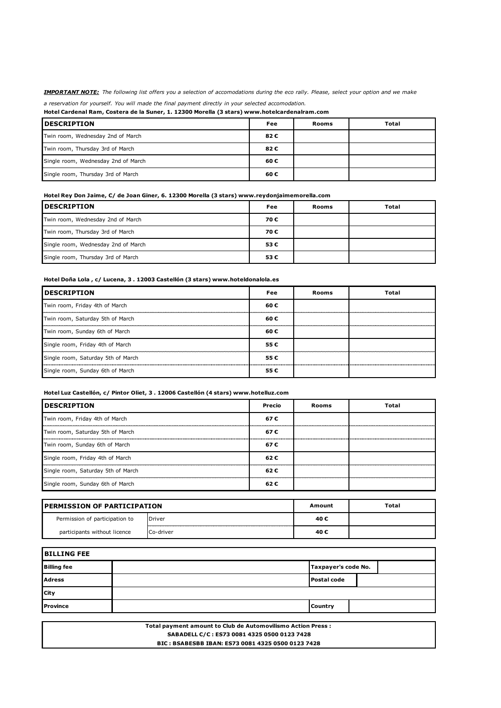*IMPORTANT NOTE: The following list offers you a selection of accomodations during the eco rally. Please, select your option and we make a reservation for yourself. You will made the final payment directly in your selected accomodation.* 

**Hotel Cardenal Ram, Costera de la Suner, 1. 12300 Morella (3 stars) www.hotelcardenalram.com**

| <b>DESCRIPTION</b>                  | Fee | Rooms | <b>Total</b> |
|-------------------------------------|-----|-------|--------------|
| Twin room, Wednesday 2nd of March   | 82€ |       |              |
| Twin room, Thursday 3rd of March    | 82€ |       |              |
| Single room, Wednesday 2nd of March | 60€ |       |              |
| Single room, Thursday 3rd of March  | 60€ |       |              |

**Hotel Rey Don Jaime, C/ de Joan Giner, 6. 12300 Morella (3 stars) www.reydonjaimemorella.com**

| <b>IDESCRIPTION</b>                 | Fee | Rooms | <b>Total</b> |
|-------------------------------------|-----|-------|--------------|
| Twin room, Wednesday 2nd of March   | 70€ |       |              |
| Twin room, Thursday 3rd of March    | 70€ |       |              |
| Single room, Wednesday 2nd of March | 53€ |       |              |
| Single room, Thursday 3rd of March  | 53€ |       |              |

**Hotel Doña Lola , c/ Lucena, 3 . 12003 Castellón (3 stars) www.hoteldonalola.es**

| <b>IDESCRIPTION</b>                | Fee  | Rooms | <b>Total</b> |
|------------------------------------|------|-------|--------------|
| Twin room, Friday 4th of March     | 60€  |       |              |
| Twin room, Saturday 5th of March   | 60 € |       |              |
| Twin room, Sunday 6th of March     | 60€  |       |              |
| Single room, Friday 4th of March   | 55€  |       |              |
| Single room, Saturday 5th of March | 55€  |       |              |
| Single room, Sunday 6th of March   | 55€  |       |              |

**Hotel Luz Castellón, c/ Pintor Oliet, 3 . 12006 Castellón (4 stars) www.hotelluz.com**

| <b>IDESCRIPTION</b>                | Precio | Rooms | Total |
|------------------------------------|--------|-------|-------|
| Twin room, Friday 4th of March     | 67 €   |       |       |
| Twin room, Saturday 5th of March   | 67 €   |       |       |
| Twin room, Sunday 6th of March     | 67 €   |       |       |
| Single room, Friday 4th of March   | 62 €   |       |       |
| Single room, Saturday 5th of March | 62 €   |       |       |
| Single room, Sunday 6th of March   | 62€    |       |       |

| <b>IPERMISSION OF PARTICIPATION</b> |           | Amount | Total |
|-------------------------------------|-----------|--------|-------|
| Permission of participation to      | Driver    | 40€    |       |
| participants without licence        | Co-driver | 40€    |       |

| <b>BILLING FEE</b> |                     |  |  |
|--------------------|---------------------|--|--|
| <b>Billing fee</b> | Taxpayer's code No. |  |  |
| <b>Adress</b>      | <b>Postal code</b>  |  |  |
| <b>City</b>        |                     |  |  |
| Province           | <b>Country</b>      |  |  |

 **BIC : BSABESBB IBAN: ES73 0081 4325 0500 0123 7428 Total payment amount to Club de Automovilismo Action Press : SABADELL C/C : ES73 0081 4325 0500 0123 7428**